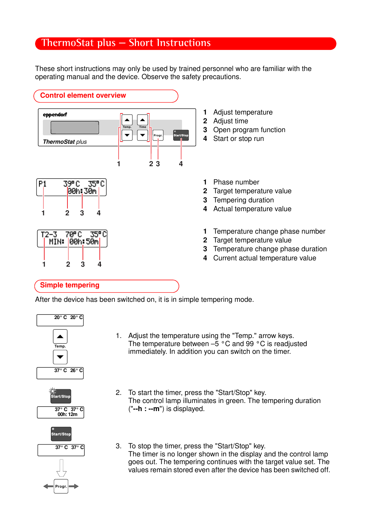## **ThermoStat plus** – **Short Instructions**

These short instructions may only be used by trained personnel who are familiar with the operating manual and the device. Observe the safety precautions.



- 1 Adjust temperature
- 2 Adjust time
- 3 Open program function
- 4 Start or stop run
- 1 Phase number
- 2 Target temperature value
- 3 Tempering duration
- 4 Actual temperature value
- 1 Temperature change phase number
- 2 Target temperature value
- **3** Temperature change phase duration
- 4 Current actual temperature value

### Simple tempering

1 2 3 4

1 2 3 4

 $70^{\circ}$ C

MIN: 00h:50m

35° C

 $T2-3$ 

00h: 30m

After the device has been switched on, it is in simple tempering mode.







- 1. Adjust the temperature using the "Temp." arrow keys. The temperature between  $-\bar{5}$  °C and 99 °C is readjusted immediately. In addition you can switch on the timer.
- 2. To start the timer, press the "Start/Stop" key. The control lamp illuminates in green. The tempering duration ("--h : --m") is displayed.
- 3. To stop the timer, press the "Start/Stop" key. The timer is no longer shown in the display and the control lamp goes out. The tempering continues with the target value set. The values remain stored even after the device has been switched off.